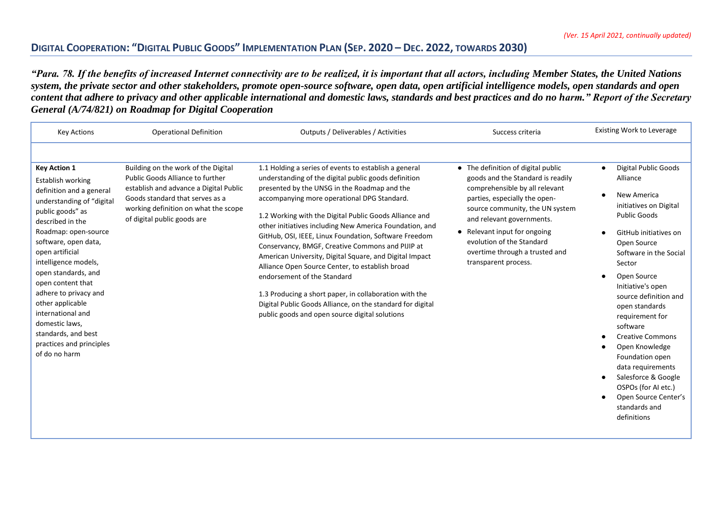*"Para. 78. If the benefits of increased Internet connectivity are to be realized, it is important that all actors, including Member States, the United Nations system, the private sector and other stakeholders, promote open-source software, open data, open artificial intelligence models, open standards and open content that adhere to privacy and other applicable international and domestic laws, standards and best practices and do no harm." Report of the Secretary General (A/74/821) on Roadmap for Digital Cooperation*

| <b>Key Actions</b>                                                                                                                                                                                                                                                                                                                                                                                                                       | <b>Operational Definition</b>                                                                                                                                                                                                      | Outputs / Deliverables / Activities                                                                                                                                                                                                                                                                                                                                                                                                                                                                                                                                                                                                                                                                                                                                   | Success criteria                                                                                                                                                                                                                                                                                                                  | Existing Work to Leverage                                                                                                                                                                                                                                                                                                                                                                                                                                                                    |
|------------------------------------------------------------------------------------------------------------------------------------------------------------------------------------------------------------------------------------------------------------------------------------------------------------------------------------------------------------------------------------------------------------------------------------------|------------------------------------------------------------------------------------------------------------------------------------------------------------------------------------------------------------------------------------|-----------------------------------------------------------------------------------------------------------------------------------------------------------------------------------------------------------------------------------------------------------------------------------------------------------------------------------------------------------------------------------------------------------------------------------------------------------------------------------------------------------------------------------------------------------------------------------------------------------------------------------------------------------------------------------------------------------------------------------------------------------------------|-----------------------------------------------------------------------------------------------------------------------------------------------------------------------------------------------------------------------------------------------------------------------------------------------------------------------------------|----------------------------------------------------------------------------------------------------------------------------------------------------------------------------------------------------------------------------------------------------------------------------------------------------------------------------------------------------------------------------------------------------------------------------------------------------------------------------------------------|
| <b>Key Action 1</b><br>Establish working<br>definition and a general<br>understanding of "digital<br>public goods" as<br>described in the<br>Roadmap: open-source<br>software, open data,<br>open artificial<br>intelligence models,<br>open standards, and<br>open content that<br>adhere to privacy and<br>other applicable<br>international and<br>domestic laws,<br>standards, and best<br>practices and principles<br>of do no harm | Building on the work of the Digital<br><b>Public Goods Alliance to further</b><br>establish and advance a Digital Public<br>Goods standard that serves as a<br>working definition on what the scope<br>of digital public goods are | 1.1 Holding a series of events to establish a general<br>understanding of the digital public goods definition<br>presented by the UNSG in the Roadmap and the<br>accompanying more operational DPG Standard.<br>1.2 Working with the Digital Public Goods Alliance and<br>other initiatives including New America Foundation, and<br>GitHub, OSI, IEEE, Linux Foundation, Software Freedom<br>Conservancy, BMGF, Creative Commons and PIJIP at<br>American University, Digital Square, and Digital Impact<br>Alliance Open Source Center, to establish broad<br>endorsement of the Standard<br>1.3 Producing a short paper, in collaboration with the<br>Digital Public Goods Alliance, on the standard for digital<br>public goods and open source digital solutions | • The definition of digital public<br>goods and the Standard is readily<br>comprehensible by all relevant<br>parties, especially the open-<br>source community, the UN system<br>and relevant governments.<br>• Relevant input for ongoing<br>evolution of the Standard<br>overtime through a trusted and<br>transparent process. | <b>Digital Public Goods</b><br>Alliance<br>New America<br>initiatives on Digital<br><b>Public Goods</b><br>GitHub initiatives on<br>Open Source<br>Software in the Social<br>Sector<br>Open Source<br>Initiative's open<br>source definition and<br>open standards<br>requirement for<br>software<br><b>Creative Commons</b><br>Open Knowledge<br>Foundation open<br>data requirements<br>Salesforce & Google<br>OSPOs (for AI etc.)<br>Open Source Center's<br>standards and<br>definitions |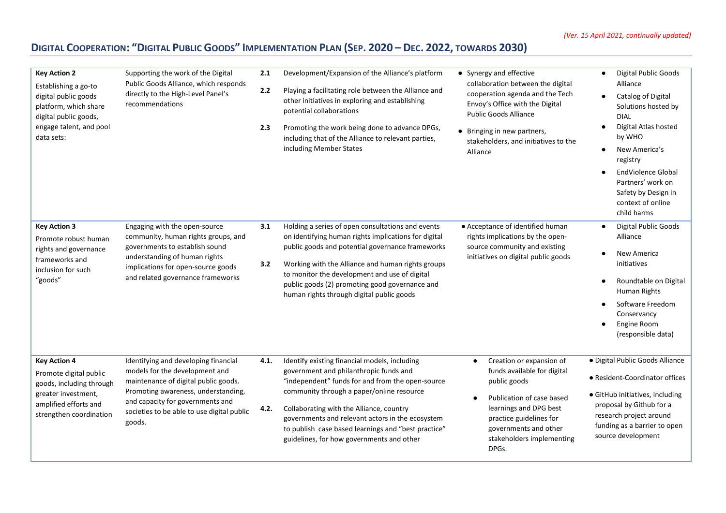| <b>Key Action 2</b><br>Establishing a go-to<br>digital public goods<br>platform, which share<br>digital public goods,<br>engage talent, and pool<br>data sets: | Supporting the work of the Digital<br>Public Goods Alliance, which responds<br>directly to the High-Level Panel's<br>recommendations                                                                                                              | 2.1<br>2.2<br>2.3 | Development/Expansion of the Alliance's platform<br>Playing a facilitating role between the Alliance and<br>other initiatives in exploring and establishing<br>potential collaborations<br>Promoting the work being done to advance DPGs,<br>including that of the Alliance to relevant parties,<br>including Member States                                                                  | • Synergy and effective<br>collaboration between the digital<br>cooperation agenda and the Tech<br>Envoy's Office with the Digital<br><b>Public Goods Alliance</b><br>• Bringing in new partners,<br>stakeholders, and initiatives to the<br>Alliance | <b>Digital Public Goods</b><br>$\bullet$<br>Alliance<br>Catalog of Digital<br>$\bullet$<br>Solutions hosted by<br><b>DIAL</b><br>Digital Atlas hosted<br>by WHO<br>New America's<br>registry<br><b>EndViolence Global</b><br>Partners' work on<br>Safety by Design in<br>context of online<br>child harms |
|----------------------------------------------------------------------------------------------------------------------------------------------------------------|---------------------------------------------------------------------------------------------------------------------------------------------------------------------------------------------------------------------------------------------------|-------------------|----------------------------------------------------------------------------------------------------------------------------------------------------------------------------------------------------------------------------------------------------------------------------------------------------------------------------------------------------------------------------------------------|-------------------------------------------------------------------------------------------------------------------------------------------------------------------------------------------------------------------------------------------------------|-----------------------------------------------------------------------------------------------------------------------------------------------------------------------------------------------------------------------------------------------------------------------------------------------------------|
| <b>Key Action 3</b><br>Promote robust human<br>rights and governance<br>frameworks and<br>inclusion for such<br>"goods"                                        | Engaging with the open-source<br>community, human rights groups, and<br>governments to establish sound<br>understanding of human rights<br>implications for open-source goods<br>and related governance frameworks                                | 3.1<br>3.2        | Holding a series of open consultations and events<br>on identifying human rights implications for digital<br>public goods and potential governance frameworks<br>Working with the Alliance and human rights groups<br>to monitor the development and use of digital<br>public goods (2) promoting good governance and<br>human rights through digital public goods                           | • Acceptance of identified human<br>rights implications by the open-<br>source community and existing<br>initiatives on digital public goods                                                                                                          | Digital Public Goods<br>$\bullet$<br>Alliance<br>New America<br>initiatives<br>Roundtable on Digital<br>Human Rights<br>Software Freedom<br>Conservancy<br>Engine Room<br>(responsible data)                                                                                                              |
| <b>Key Action 4</b><br>Promote digital public<br>goods, including through<br>greater investment,<br>amplified efforts and<br>strengthen coordination           | Identifying and developing financial<br>models for the development and<br>maintenance of digital public goods.<br>Promoting awareness, understanding,<br>and capacity for governments and<br>societies to be able to use digital public<br>goods. | 4.1.<br>4.2.      | Identify existing financial models, including<br>government and philanthropic funds and<br>"independent" funds for and from the open-source<br>community through a paper/online resource<br>Collaborating with the Alliance, country<br>governments and relevant actors in the ecosystem<br>to publish case based learnings and "best practice"<br>guidelines, for how governments and other | Creation or expansion of<br>$\bullet$<br>funds available for digital<br>public goods<br>Publication of case based<br>$\bullet$<br>learnings and DPG best<br>practice guidelines for<br>governments and other<br>stakeholders implementing<br>DPGs.    | · Digital Public Goods Alliance<br>• Resident-Coordinator offices<br>• GitHub initiatives, including<br>proposal by Github for a<br>research project around<br>funding as a barrier to open<br>source development                                                                                         |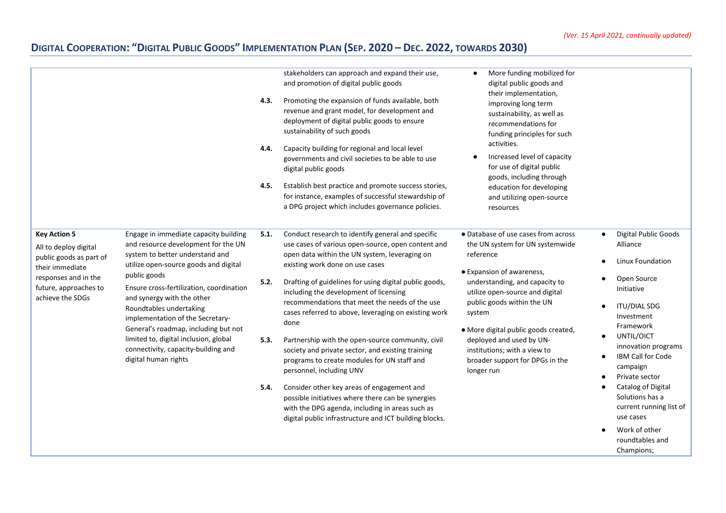|                                                                                                                                                                 |                                                                                                                                                                                                                                                                                                                                                                                                                                                                   | 4.3.<br>4.4.<br>4.5.         | stakeholders can approach and expand their use,<br>and promotion of digital public goods<br>Promoting the expansion of funds available, both<br>revenue and grant model, for development and<br>deployment of digital public goods to ensure<br>sustainability of such goods<br>Capacity building for regional and local level<br>governments and civil societies to be able to use<br>digital public goods<br>Establish best practice and promote success stories,<br>for instance, examples of successful stewardship of<br>a DPG project which includes governance policies.                                                                                                                                                                                                                                        | More funding mobilized for<br>digital public goods and<br>their implementation,<br>improving long term<br>sustainability, as well as<br>recommendations for<br>funding principles for such<br>activities.<br>Increased level of capacity<br>for use of digital public<br>goods, including through<br>education for developing<br>and utilizing open-source<br>resources            |                                                                                                                                                                                                                                                                                                                                                                                                                                        |
|-----------------------------------------------------------------------------------------------------------------------------------------------------------------|-------------------------------------------------------------------------------------------------------------------------------------------------------------------------------------------------------------------------------------------------------------------------------------------------------------------------------------------------------------------------------------------------------------------------------------------------------------------|------------------------------|------------------------------------------------------------------------------------------------------------------------------------------------------------------------------------------------------------------------------------------------------------------------------------------------------------------------------------------------------------------------------------------------------------------------------------------------------------------------------------------------------------------------------------------------------------------------------------------------------------------------------------------------------------------------------------------------------------------------------------------------------------------------------------------------------------------------|------------------------------------------------------------------------------------------------------------------------------------------------------------------------------------------------------------------------------------------------------------------------------------------------------------------------------------------------------------------------------------|----------------------------------------------------------------------------------------------------------------------------------------------------------------------------------------------------------------------------------------------------------------------------------------------------------------------------------------------------------------------------------------------------------------------------------------|
| <b>Key Action 5</b><br>All to deploy digital<br>public goods as part of<br>their immediate<br>responses and in the<br>future, approaches to<br>achieve the SDGs | Engage in immediate capacity building<br>and resource development for the UN<br>system to better understand and<br>utilize open-source goods and digital<br>public goods<br>Ensure cross-fertilization, coordination<br>and synergy with the other<br>Roundtables undertaking<br>implementation of the Secretary-<br>General's roadmap, including but not<br>limited to, digital inclusion, global<br>connectivity, capacity-building and<br>digital human rights | 5.1.<br>5.2.<br>5.3.<br>5.4. | Conduct research to identify general and specific<br>use cases of various open-source, open content and<br>open data within the UN system, leveraging on<br>existing work done on use cases<br>Drafting of guidelines for using digital public goods,<br>including the development of licensing<br>recommendations that meet the needs of the use<br>cases referred to above, leveraging on existing work<br>done<br>Partnership with the open-source community, civil<br>society and private sector, and existing training<br>programs to create modules for UN staff and<br>personnel, including UNV<br>Consider other key areas of engagement and<br>possible initiatives where there can be synergies<br>with the DPG agenda, including in areas such as<br>digital public infrastructure and ICT building blocks. | • Database of use cases from across<br>the UN system for UN systemwide<br>reference<br>• Expansion of awareness,<br>understanding, and capacity to<br>utilize open-source and digital<br>public goods within the UN<br>system<br>· More digital public goods created,<br>deployed and used by UN-<br>institutions; with a view to<br>broader support for DPGs in the<br>longer run | <b>Digital Public Goods</b><br>$\bullet$<br>Alliance<br>Linux Foundation<br>$\bullet$<br>Open Source<br>Initiative<br><b>ITU/DIAL SDG</b><br>$\bullet$<br>Investment<br>Framework<br>UNTIL/OICT<br>$\bullet$<br>innovation programs<br>IBM Call for Code<br>campaign<br>Private sector<br>$\bullet$<br>Catalog of Digital<br>Solutions has a<br>current running list of<br>use cases<br>Work of other<br>roundtables and<br>Champions; |